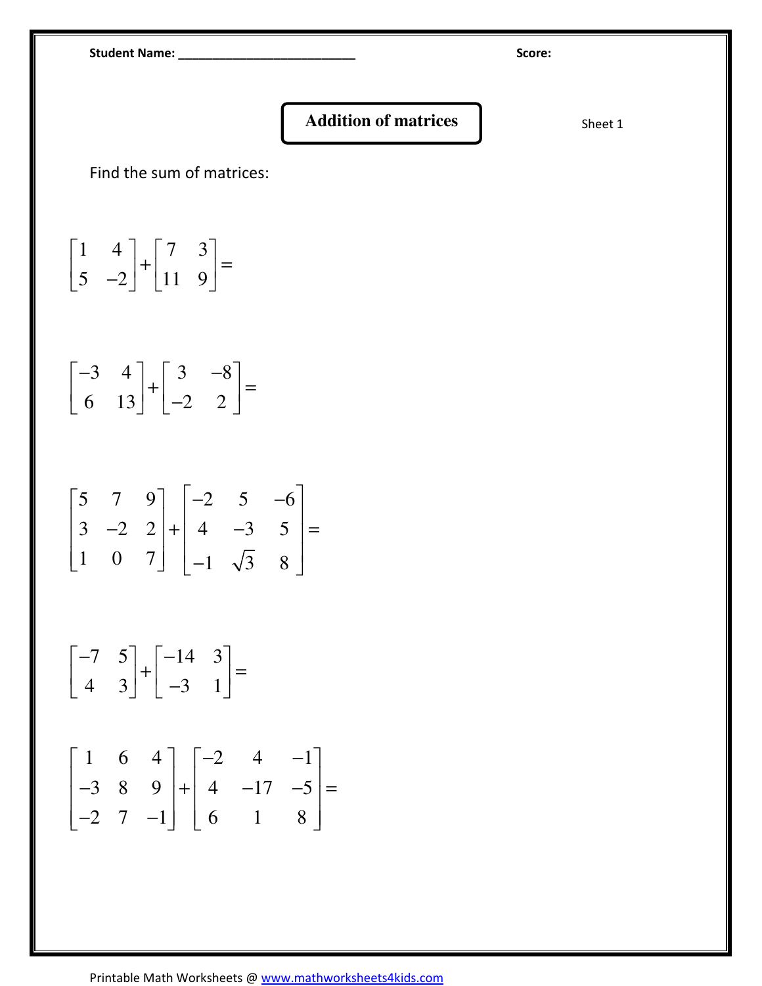